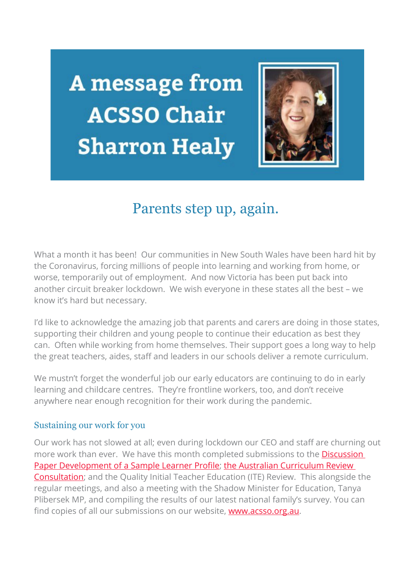**A** message from **ACSSO Chair Sharron Healy** 



# Parents step up, again.

What a month it has been! Our communities in New South Wales have been hard hit by the Coronavirus, forcing millions of people into learning and working from home, or worse, temporarily out of employment. And now Victoria has been put back into another circuit breaker lockdown. We wish everyone in these states all the best – we know it's hard but necessary.

I'd like to acknowledge the amazing job that parents and carers are doing in those states, supporting their children and young people to continue their education as best they can. Often while working from home themselves. Their support goes a long way to help the great teachers, aides, staff and leaders in our schools deliver a remote curriculum.

We mustn't forget the wonderful job our early educators are continuing to do in early learning and childcare centres. They're frontline workers, too, and don't receive anywhere near enough recognition for their work during the pandemic.

### Sustaining our work for you

Our work has not slowed at all; even during lockdown our CEO and staff are churning out more work than ever. We have this month completed submissions to the **Discussion** [Paper Development of a Sample Learner Profile;](https://acsso.createsend1.com/t/i-l-cbdrit-l-h/) [the Australian Curriculum Review](https://acsso.createsend1.com/t/i-l-cbdrit-l-k/)  [Consultation;](https://acsso.createsend1.com/t/i-l-cbdrit-l-k/) and the Quality Initial Teacher Education (ITE) Review. This alongside the regular meetings, and also a meeting with the Shadow Minister for Education, Tanya Plibersek MP, and compiling the results of our latest national family's survey. You can find copies of all our submissions on our website, **www.acsso.org.au**.